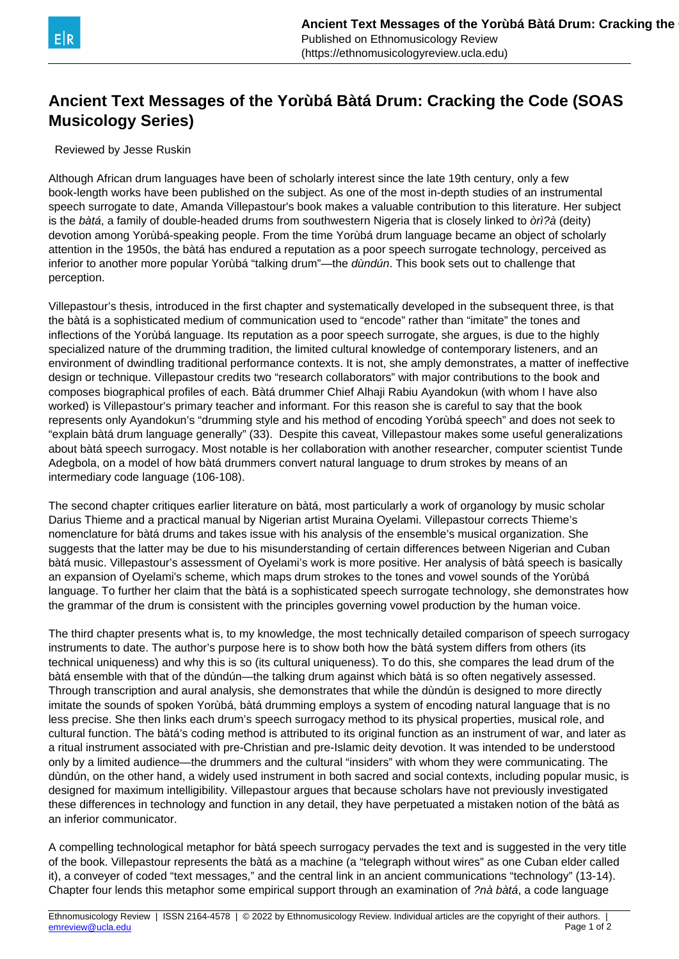

## **Ancient Text Messages of the Yorùbá Bàtá Drum: Cracking the Code (SOAS Musicology Series)**

Reviewed by Jesse Ruskin

Although African drum languages have been of scholarly interest since the late 19th century, only a few book-length works have been published on the subject. As one of the most in-depth studies of an instrumental speech surrogate to date, Amanda Villepastour's book makes a valuable contribution to this literature. Her subject is the bàtá, a family of double-headed drums from southwestern Nigeria that is closely linked to òrì?à (deity) devotion among Yorùbá-speaking people. From the time Yorùbá drum language became an object of scholarly attention in the 1950s, the bàtá has endured a reputation as a poor speech surrogate technology, perceived as inferior to another more popular Yorùbá "talking drum"—the *dùndún*. This book sets out to challenge that perception.

Villepastour's thesis, introduced in the first chapter and systematically developed in the subsequent three, is that the bàtá is a sophisticated medium of communication used to "encode" rather than "imitate" the tones and inflections of the Yorùbá language. Its reputation as a poor speech surrogate, she argues, is due to the highly specialized nature of the drumming tradition, the limited cultural knowledge of contemporary listeners, and an environment of dwindling traditional performance contexts. It is not, she amply demonstrates, a matter of ineffective design or technique. Villepastour credits two "research collaborators" with major contributions to the book and composes biographical profiles of each. Bàtá drummer Chief Alhaji Rabiu Ayandokun (with whom I have also worked) is Villepastour's primary teacher and informant. For this reason she is careful to say that the book represents only Ayandokun's "drumming style and his method of encoding Yorùbá speech" and does not seek to "explain bàtá drum language generally" (33). Despite this caveat, Villepastour makes some useful generalizations about bàtá speech surrogacy. Most notable is her collaboration with another researcher, computer scientist Tunde Adegbola, on a model of how bàtá drummers convert natural language to drum strokes by means of an intermediary code language (106-108).

The second chapter critiques earlier literature on bàtá, most particularly a work of organology by music scholar Darius Thieme and a practical manual by Nigerian artist Muraina Oyelami. Villepastour corrects Thieme's nomenclature for bàtá drums and takes issue with his analysis of the ensemble's musical organization. She suggests that the latter may be due to his misunderstanding of certain differences between Nigerian and Cuban bàtá music. Villepastour's assessment of Oyelami's work is more positive. Her analysis of bàtá speech is basically an expansion of Oyelami's scheme, which maps drum strokes to the tones and vowel sounds of the Yorùbá language. To further her claim that the bàtá is a sophisticated speech surrogate technology, she demonstrates how the grammar of the drum is consistent with the principles governing vowel production by the human voice.

The third chapter presents what is, to my knowledge, the most technically detailed comparison of speech surrogacy instruments to date. The author's purpose here is to show both how the bàtá system differs from others (its technical uniqueness) and why this is so (its cultural uniqueness). To do this, she compares the lead drum of the bàtá ensemble with that of the dùndún—the talking drum against which bàtá is so often negatively assessed. Through transcription and aural analysis, she demonstrates that while the dùndún is designed to more directly imitate the sounds of spoken Yorùbá, bàtá drumming employs a system of encoding natural language that is no less precise. She then links each drum's speech surrogacy method to its physical properties, musical role, and cultural function. The bàtá's coding method is attributed to its original function as an instrument of war, and later as a ritual instrument associated with pre-Christian and pre-Islamic deity devotion. It was intended to be understood only by a limited audience—the drummers and the cultural "insiders" with whom they were communicating. The dùndún, on the other hand, a widely used instrument in both sacred and social contexts, including popular music, is designed for maximum intelligibility. Villepastour argues that because scholars have not previously investigated these differences in technology and function in any detail, they have perpetuated a mistaken notion of the bàtá as an inferior communicator.

A compelling technological metaphor for bàtá speech surrogacy pervades the text and is suggested in the very title of the book. Villepastour represents the bàtá as a machine (a "telegraph without wires" as one Cuban elder called it), a conveyer of coded "text messages," and the central link in an ancient communications "technology" (13-14). Chapter four lends this metaphor some empirical support through an examination of ?nà bàtá, a code language